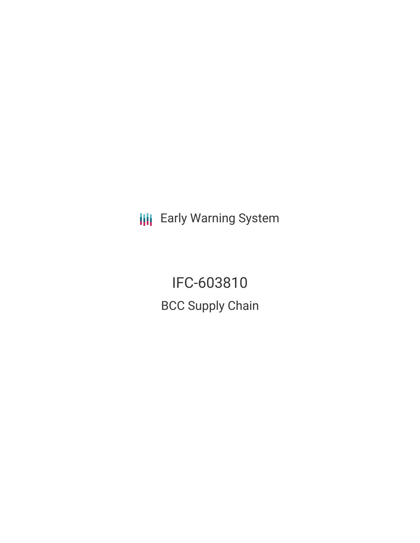**III** Early Warning System

IFC-603810 BCC Supply Chain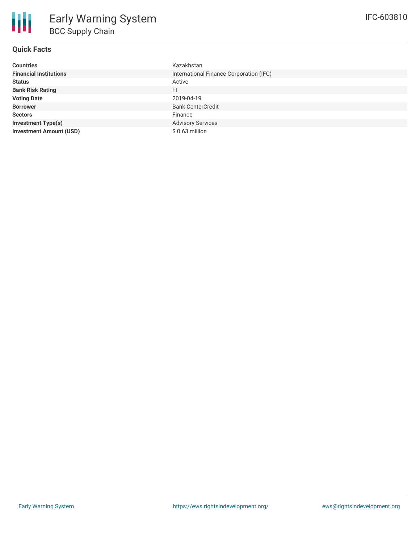### **Quick Facts**

冊

| <b>Countries</b>               | Kazakhstan                              |
|--------------------------------|-----------------------------------------|
| <b>Financial Institutions</b>  | International Finance Corporation (IFC) |
| <b>Status</b>                  | Active                                  |
| <b>Bank Risk Rating</b>        | FI.                                     |
| <b>Voting Date</b>             | 2019-04-19                              |
| <b>Borrower</b>                | <b>Bank CenterCredit</b>                |
| <b>Sectors</b>                 | Finance                                 |
| <b>Investment Type(s)</b>      | <b>Advisory Services</b>                |
| <b>Investment Amount (USD)</b> | \$0.63 million                          |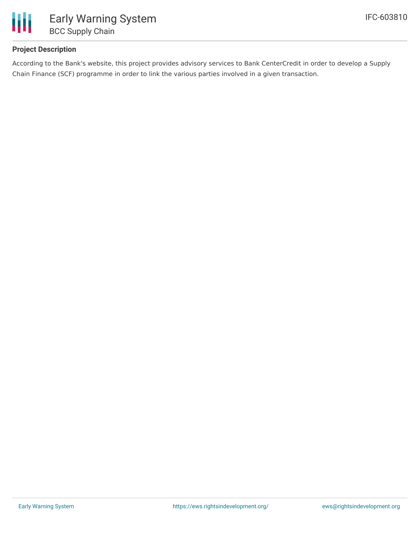

## **Project Description**

According to the Bank's website, this project provides advisory services to Bank CenterCredit in order to develop a Supply Chain Finance (SCF) programme in order to link the various parties involved in a given transaction.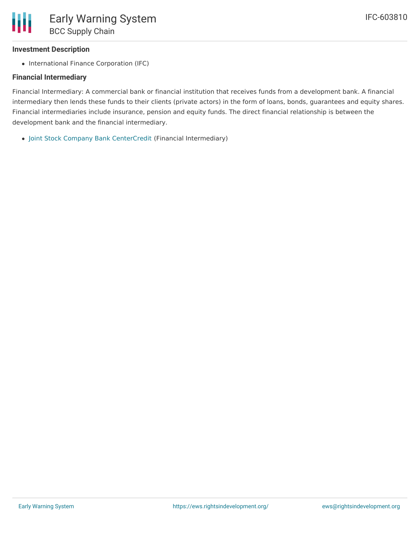#### **Investment Description**

• International Finance Corporation (IFC)

#### **Financial Intermediary**

Financial Intermediary: A commercial bank or financial institution that receives funds from a development bank. A financial intermediary then lends these funds to their clients (private actors) in the form of loans, bonds, guarantees and equity shares. Financial intermediaries include insurance, pension and equity funds. The direct financial relationship is between the development bank and the financial intermediary.

Joint Stock Company Bank [CenterCredit](file:///actor/679/) (Financial Intermediary)